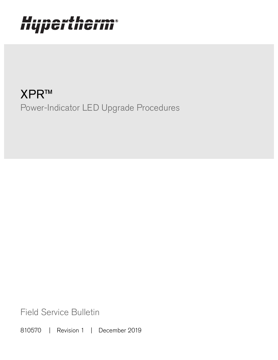# Hypertherm®

XPR™ Power-Indicator LED Upgrade Procedures

Field Service Bulletin

810570 | Revision 1 | December 2019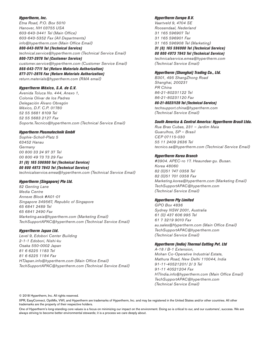#### Hypertherm, Inc.

Etna Road, P.O. Box 5010 Hanover, NH 03755 USA 603-643-3441 Tel (Main Office) 603-643-5352 Fax (All Departments) info@hypertherm.com (Main Office Email)

800-643-9878 Tel (Technical Service) technical.service@hypertherm.com (Technical Service Email)

800-737-2978 Tel (Customer Service) customer.service@hypertherm.com (Customer Service Email) 866-643-7711 Tel (Return Materials Authorization)

877-371-2876 Fax (Return Materials Authorization) return.materials@hypertherm.com (RMA email)

#### Hypertherm México, S.A. de C.V.

Avenida Toluca No. 444, Anexo 1, Colonia Olivar de los Padres Delegación Álvaro Obregón México, D.F. C.P. 01780 52 55 5681 8109 Tel 52 55 5683 2127 Fax Soporte.Tecnico@hypertherm.com (Technical Service Email)

#### Hypertherm Plasmatechnik GmbH

Sophie-Scholl-Platz 5 63452 Hanau **Germany** 00 800 33 24 97 37 Tel 00 800 49 73 73 29 Fax

#### 31 (0) 165 596900 Tel (Technical Service)

00 800 4973 7843 Tel (Technical Service) technicalservice.emea@hypertherm.com (Technical Service Email)

#### Hypertherm (Singapore) Pte Ltd.

82 Genting Lane Media Centre Annexe Block #A01-01 Singapore 349567, Republic of Singapore 65 6841 2489 Tel 65 6841 2490 Fax Marketing.asia@hypertherm.com (Marketing Email) TechSupportAPAC@hypertherm.com (Technical Service Email)

#### Hypertherm Japan Ltd.

Level 9, Edobori Center Building 2-1-1 Edobori, Nishi-ku Osaka 550-0002 Japan 81 6 6225 1183 Tel 81 6 6225 1184 Fax HTJapan.info@hypertherm.com (Main Office Email) TechSupportAPAC@hypertherm.com (Technical Service Email)

#### Hypertherm Europe B.V.

Vaartveld 9, 4704 SE Roosendaal, Nederland 31 165 596907 Tel 31 165 596901 Fax 31 165 596908 Tel (Marketing)

31 (0) 165 596900 Tel (Technical Service) 00 800 4973 7843 Tel (Technical Service)

technicalservice.emea@hypertherm.com (Technical Service Email)

#### Hypertherm (Shanghai) Trading Co., Ltd.

B301, 495 ShangZhong Road Shanghai, 200231 PR China 86-21-80231122 Tel 86-21-80231120 Fax

86-21-80231128 Tel (Technical Service)

techsupport.china@hypertherm.com (Technical Service Email)

#### South America & Central America: Hypertherm Brasil Ltda.

Rua Bras Cubas, 231 – Jardim Maia Guarulhos, SP – Brasil CEP 07115-030 55 11 2409 2636 Tel tecnico.sa@hypertherm.com (Technical Service Email)

#### Hypertherm Korea Branch

#3904. APEC-ro 17. Heaundae-gu. Busan. Korea 48060 82 (0)51 747 0358 Tel 82 (0)51 701 0358 Fax Marketing.korea@hypertherm.com (Marketing Email) TechSupportAPAC@hypertherm.com (Technical Service Email)

#### Hypertherm Pty Limited

GPO Box 4836 Sydney NSW 2001, Australia 61 (0) 437 606 995 Tel 61 7 3219 9010 Fax au.sales@Hypertherm.com (Main Office Email) TechSupportAPAC@hypertherm.com (Technical Service Email)

#### Hypertherm (India) Thermal Cutting Pvt. Ltd

A-18 / B-1 Extension, Mohan Co-Operative Industrial Estate, Mathura Road, New Delhi 110044, India 91-11-40521201/ 2/ 3 Tel 91-11 40521204 Fax HTIndia.info@hypertherm.com (Main Office Email) TechSupportAPAC@hypertherm.com (Technical Service Email)

© 2018 Hypertherm, Inc. All rights reserved.

XPR, EasyConnect, OptiMix, VWI, and Hypertherm are trademarks of Hypertherm, Inc. and may be registered in the United States and/or other countries. All other trademarks are the property of their respective holders.

One of Hypertherm's long-standing core values is a focus on minimizing our impact on the environment. Doing so is critical to our, and our customers', success. We are always striving to become better environmental stewards; it is a process we care deeply about.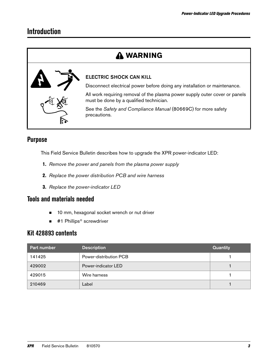## **Introduction**

## **WARNING**



### ELECTRIC SHOCK CAN KILL

Disconnect electrical power before doing any installation or maintenance.

All work requiring removal of the plasma power supply outer cover or panels must be done by a qualified technician.

See the Safety and Compliance Manual (80669C) for more safety precautions.

## **Purpose**

This Field Service Bulletin describes how to upgrade the XPR power-indicator LED:

- 1. [Remove the power and panels from the plasma power supply](#page-3-0)
- 2. [Replace the power distribution PCB and wire harness](#page-4-0)
- **3.** [Replace the power-indicator LED](#page-6-0)

## **Tools and materials needed**

- 10 mm, hexagonal socket wrench or nut driver
- #1 Phillips<sup>®</sup> screwdriver

## **Kit 428893 contents**

| <b>Part number</b> | <b>Description</b>     | <b>Quantity</b> |
|--------------------|------------------------|-----------------|
| 141425             | Power-distribution PCB |                 |
| 429002             | Power-indicator LED    |                 |
| 429015             | Wire harness           |                 |
| 210469             | Label                  |                 |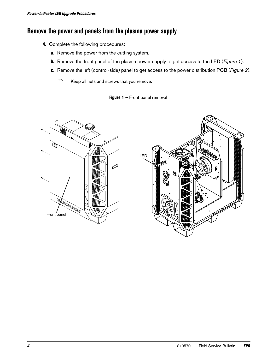## <span id="page-3-0"></span>**Remove the power and panels from the plasma power supply**

- 4. Complete the following procedures:
	- a. Remove the power from the cutting system.
	- **b.** Remove the front panel of the plasma power supply to get access to the LED ([Figure 1](#page-3-1)).
	- c. Remove the left (control-side) panel to get access to the power distribution PCB ([Figure 2](#page-4-1)).

 $\begin{array}{ll} \boxed{\triangleq} & \text{Keep all nuts and screws that you remove.} \end{array}$ 

**Figure 1** – Front panel removal

<span id="page-3-1"></span>

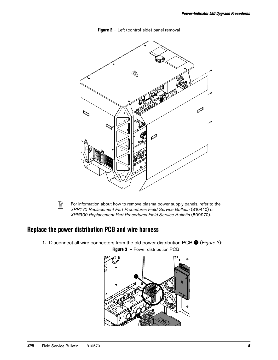

<span id="page-4-1"></span>



For information about how to remove plasma power supply panels, refer to the XPR170 Replacement Part Procedures Field Service Bulletin (810410) or XPR300 Replacement Part Procedures Field Service Bulletin (809970).

## <span id="page-4-0"></span>**Replace the power distribution PCB and wire harness**

1. Disconnect all wire connectors from the old power distribution PCB  $\bullet$  ([Figure 3](#page-4-2)):

<span id="page-4-2"></span>

Figure 3 - Power distribution PCB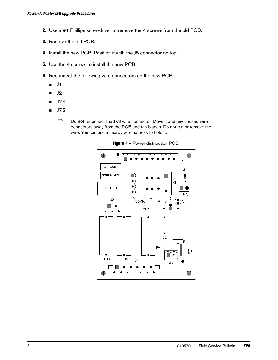- 2. Use a #1 Phillips screwdriver to remove the 4 screws from the old PCB.
- 3. Remove the old PCB.
- 4. Install the new PCB. Position it with the J5 connector on top.
- **5.** Use the 4 screws to install the new PCB.
- **6.** Reconnect the following wire connectors on the new PCB:<br>■ J1
	- J1
	- $J2$
	- $J7.4$
	- $J7.5$

 $\begin{bmatrix} \hline \hline \hline \hline \end{bmatrix}$  Do not reconnect the J7.3 wire connector. Move it and any unused wire connectors away from the PCB and fan blades. Do not cut or remove the wire. You can use a nearby wire harness to hold it.



Figure 4 - Power distribution PCB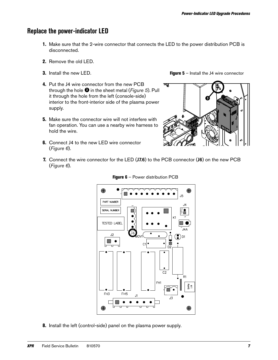## <span id="page-6-0"></span>**Replace the power-indicator LED**

- 1. Make sure that the 2-wire connector that connects the LED to the power distribution PCB is disconnected.
- 2. Remove the old LED.
- 3. Install the new LED.
- 4. Put the J4 wire connector from the new PCB through the hole  $\bullet$  in the sheet metal (*[Figure 5](#page-6-1)*). Pull it through the hole from the left (console-side) interior to the front-interior side of the plasma power supply.
- **5.** Make sure the connector wire will not interfere with fan operation. You can use a nearby wire harness to hold the wire.
- **6.** Connect J4 to the new LED wire connector ([Figure 6](#page-6-2)).

<span id="page-6-1"></span>**Figure 5** – Install the J4 wire connector



7. Connect the wire connector for the LED (J7.6) to the PCB connector (J6) on the new PCB ([Figure 6](#page-6-2)).

<span id="page-6-2"></span>

Figure 6 – Power distribution PCB

8. Install the left (control-side) panel on the plasma power supply.